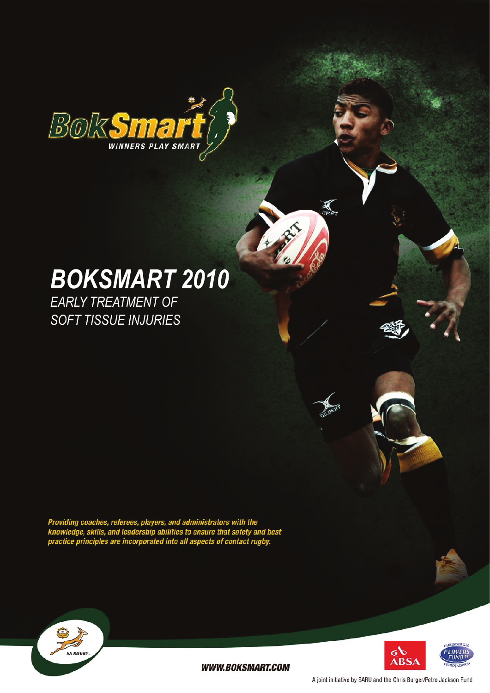

# *BokSmart 2010*

*Early Treatment of Soft Tissue Injuries*

Providing coaches, referees, players, and administrators with the<br>knowledge, skills, and leadership abilities to ensure that safety and best<br>practice principles are incorporated into all aspects of contact rugby.





**WWW.BOKSMART.COM** 

A joint initiative by SARU and the Chris Burger/Petro Jackson Fund

 $\sum_{B \to RT}$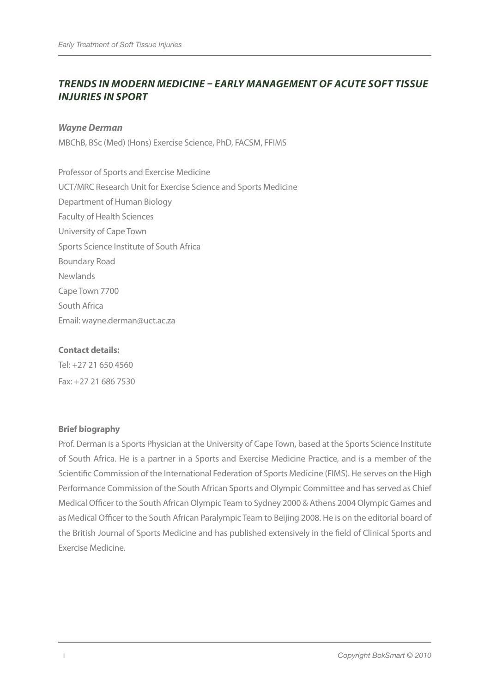## *Trends in Modern Medicine – Early Management of Acute Soft Tissue Injuries in Sport*

#### *Wayne Derman*

MBChB, BSc (Med) (Hons) Exercise Science, PhD, FACSM, FFIMS

Professor of Sports and Exercise Medicine UCT/MRC Research Unit for Exercise Science and Sports Medicine Department of Human Biology Faculty of Health Sciences University of Cape Town Sports Science Institute of South Africa Boundary Road Newlands Cape Town 7700 South Africa Email: wayne.derman@uct.ac.za

#### **Contact details:**

Tel: +27 21 650 4560 Fax: +27 21 686 7530

#### **Brief biography**

Prof. Derman is a Sports Physician at the University of Cape Town, based at the Sports Science Institute of South Africa. He is a partner in a Sports and Exercise Medicine Practice, and is a member of the Scientific Commission of the International Federation of Sports Medicine (FIMS). He serves on the High Performance Commission of the South African Sports and Olympic Committee and has served as Chief Medical Officer to the South African Olympic Team to Sydney 2000 & Athens 2004 Olympic Games and as Medical Officer to the South African Paralympic Team to Beijing 2008. He is on the editorial board of the British Journal of Sports Medicine and has published extensively in the field of Clinical Sports and Exercise Medicine.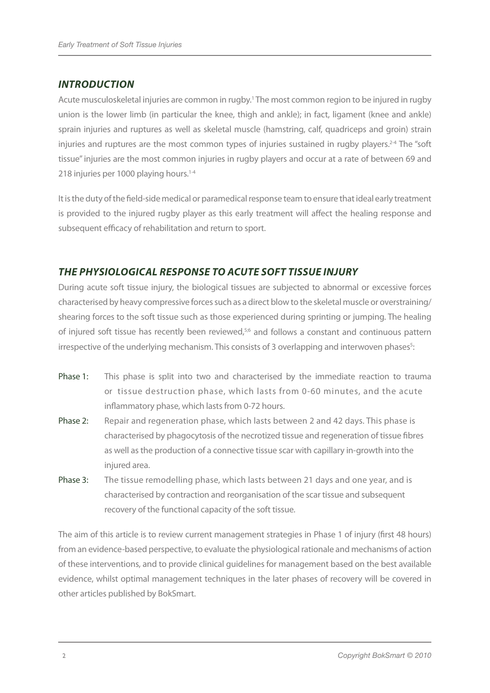## *INTRODUCTION*

Acute musculoskeletal injuries are common in rugby.<sup>1</sup> The most common region to be injured in rugby union is the lower limb (in particular the knee, thigh and ankle); in fact, ligament (knee and ankle) sprain injuries and ruptures as well as skeletal muscle (hamstring, calf, quadriceps and groin) strain injuries and ruptures are the most common types of injuries sustained in rugby players.<sup>2-4</sup> The "soft tissue" injuries are the most common injuries in rugby players and occur at a rate of between 69 and 218 injuries per 1000 playing hours.<sup>1-4</sup>

It is the duty of the field-side medical or paramedical response team to ensure that ideal early treatment is provided to the injured rugby player as this early treatment will affect the healing response and subsequent efficacy of rehabilitation and return to sport.

## *The physiological response to acute soft tissue injury*

During acute soft tissue injury, the biological tissues are subjected to abnormal or excessive forces characterised by heavy compressive forces such as a direct blow to the skeletal muscle or overstraining/ shearing forces to the soft tissue such as those experienced during sprinting or jumping. The healing of injured soft tissue has recently been reviewed,<sup>5,6</sup> and follows a constant and continuous pattern irrespective of the underlying mechanism. This consists of 3 overlapping and interwoven phases<sup>5</sup>

- Phase 1: This phase is split into two and characterised by the immediate reaction to trauma or tissue destruction phase, which lasts from 0-60 minutes, and the acute inflammatory phase, which lasts from 0-72 hours.
- Phase 2: Repair and regeneration phase, which lasts between 2 and 42 days. This phase is characterised by phagocytosis of the necrotized tissue and regeneration of tissue fibres as well as the production of a connective tissue scar with capillary in-growth into the injured area.
- Phase 3: The tissue remodelling phase, which lasts between 21 days and one year, and is characterised by contraction and reorganisation of the scar tissue and subsequent recovery of the functional capacity of the soft tissue.

The aim of this article is to review current management strategies in Phase 1 of injury (first 48 hours) from an evidence-based perspective, to evaluate the physiological rationale and mechanisms of action of these interventions, and to provide clinical guidelines for management based on the best available evidence, whilst optimal management techniques in the later phases of recovery will be covered in other articles published by BokSmart.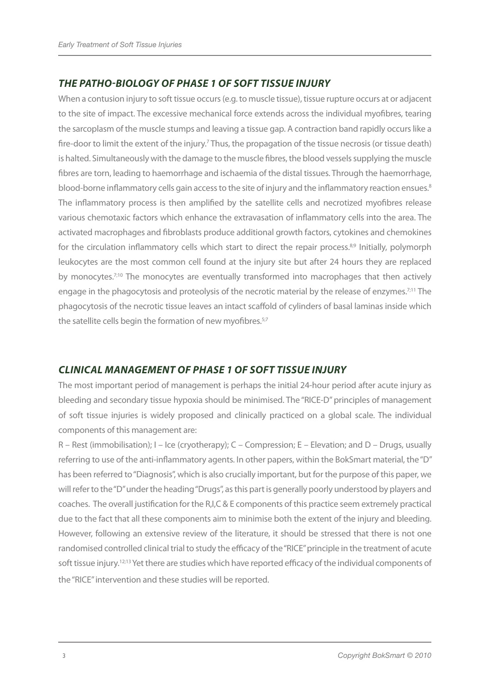## *The patho-biology of phase 1 of soft tissue injury*

When a contusion injury to soft tissue occurs (e.g. to muscle tissue), tissue rupture occurs at or adjacent to the site of impact. The excessive mechanical force extends across the individual myofibres, tearing the sarcoplasm of the muscle stumps and leaving a tissue gap. A contraction band rapidly occurs like a fire-door to limit the extent of the injury.<sup>7</sup> Thus, the propagation of the tissue necrosis (or tissue death) is halted. Simultaneously with the damage to the muscle fibres, the blood vessels supplying the muscle fibres are torn, leading to haemorrhage and ischaemia of the distal tissues. Through the haemorrhage, blood-borne inflammatory cells gain access to the site of injury and the inflammatory reaction ensues.<sup>8</sup> The inflammatory process is then amplified by the satellite cells and necrotized myofibres release various chemotaxic factors which enhance the extravasation of inflammatory cells into the area. The activated macrophages and fibroblasts produce additional growth factors, cytokines and chemokines for the circulation inflammatory cells which start to direct the repair process.<sup>8;9</sup> Initially, polymorph leukocytes are the most common cell found at the injury site but after 24 hours they are replaced by monocytes.<sup>7;10</sup> The monocytes are eventually transformed into macrophages that then actively engage in the phagocytosis and proteolysis of the necrotic material by the release of enzymes.<sup>7;11</sup> The phagocytosis of the necrotic tissue leaves an intact scaffold of cylinders of basal laminas inside which the satellite cells begin the formation of new myofibres.<sup>5;7</sup>

## *Clinical management of phase 1 of soft tissue injury*

The most important period of management is perhaps the initial 24-hour period after acute injury as bleeding and secondary tissue hypoxia should be minimised. The "RICE-D" principles of management of soft tissue injuries is widely proposed and clinically practiced on a global scale. The individual components of this management are:

R – Rest (immobilisation); I – Ice (cryotherapy); C – Compression; E – Elevation; and D – Drugs, usually referring to use of the anti-inflammatory agents. In other papers, within the BokSmart material, the "D" has been referred to "Diagnosis", which is also crucially important, but for the purpose of this paper, we will refer to the "D" under the heading "Drugs", as this part is generally poorly understood by players and coaches. The overall justification for the R,I,C & E components of this practice seem extremely practical due to the fact that all these components aim to minimise both the extent of the injury and bleeding. However, following an extensive review of the literature, it should be stressed that there is not one randomised controlled clinical trial to study the efficacy of the "RICE" principle in the treatment of acute soft tissue injury.<sup>12;13</sup> Yet there are studies which have reported efficacy of the individual components of the "RICE" intervention and these studies will be reported.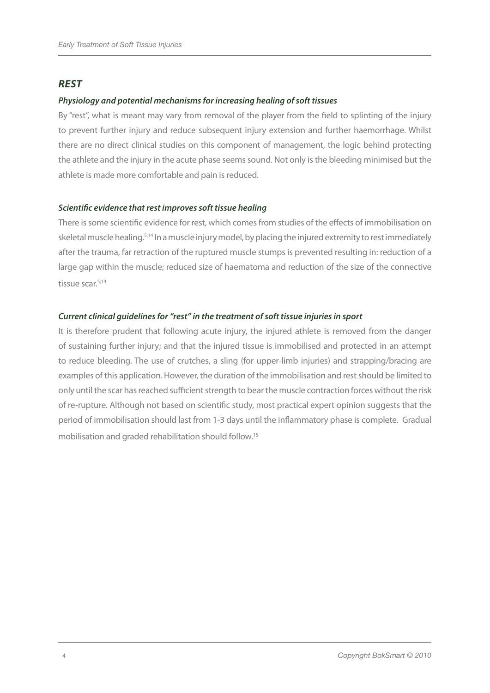#### *Rest*

#### *Physiology and potential mechanisms for increasing healing of soft tissues*

By "rest", what is meant may vary from removal of the player from the field to splinting of the injury to prevent further injury and reduce subsequent injury extension and further haemorrhage. Whilst there are no direct clinical studies on this component of management, the logic behind protecting the athlete and the injury in the acute phase seems sound. Not only is the bleeding minimised but the athlete is made more comfortable and pain is reduced.

#### *Scientific evidence that rest improves soft tissue healing*

There is some scientific evidence for rest, which comes from studies of the effects of immobilisation on skeletal muscle healing.<sup>5;14</sup> In a muscle injury model, by placing the injured extremity to rest immediately after the trauma, far retraction of the ruptured muscle stumps is prevented resulting in: reduction of a large gap within the muscle; reduced size of haematoma and reduction of the size of the connective tissue scar.5;14

#### *Current clinical guidelines for "rest" in the treatment of soft tissue injuries in sport*

It is therefore prudent that following acute injury, the injured athlete is removed from the danger of sustaining further injury; and that the injured tissue is immobilised and protected in an attempt to reduce bleeding. The use of crutches, a sling (for upper-limb injuries) and strapping/bracing are examples of this application. However, the duration of the immobilisation and rest should be limited to only until the scar has reached sufficient strength to bear the muscle contraction forces without the risk of re-rupture. Although not based on scientific study, most practical expert opinion suggests that the period of immobilisation should last from 1-3 days until the inflammatory phase is complete. Gradual mobilisation and graded rehabilitation should follow.15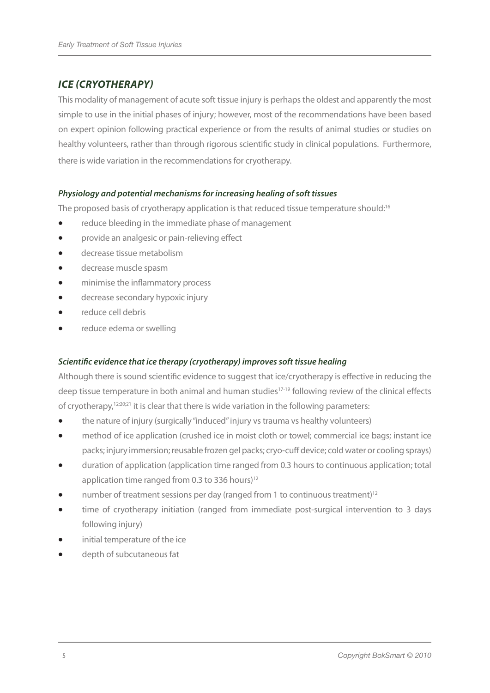## *Ice (Cryotherapy)*

This modality of management of acute soft tissue injury is perhaps the oldest and apparently the most simple to use in the initial phases of injury; however, most of the recommendations have been based on expert opinion following practical experience or from the results of animal studies or studies on healthy volunteers, rather than through rigorous scientific study in clinical populations. Furthermore, there is wide variation in the recommendations for cryotherapy.

## *Physiology and potential mechanisms for increasing healing of soft tissues*

The proposed basis of cryotherapy application is that reduced tissue temperature should:<sup>16</sup>

- reduce bleeding in the immediate phase of management
- provide an analgesic or pain-relieving effect
- decrease tissue metabolism
- decrease muscle spasm
- minimise the inflammatory process
- decrease secondary hypoxic injury
- reduce cell debris
- reduce edema or swelling

#### *Scientific evidence that ice therapy (cryotherapy) improves soft tissue healing*

Although there is sound scientific evidence to suggest that ice/cryotherapy is effective in reducing the deep tissue temperature in both animal and human studies<sup>17-19</sup> following review of the clinical effects of cryotherapy,<sup>12;20;21</sup> it is clear that there is wide variation in the following parameters:

- the nature of injury (surgically "induced" injury vs trauma vs healthy volunteers)
- method of ice application (crushed ice in moist cloth or towel; commercial ice bags; instant ice packs; injury immersion; reusable frozen gel packs; cryo-cuff device; cold water or cooling sprays)
- duration of application (application time ranged from 0.3 hours to continuous application; total application time ranged from 0.3 to 336 hours) $12$
- number of treatment sessions per day (ranged from 1 to continuous treatment)<sup>12</sup>
- time of cryotherapy initiation (ranged from immediate post-surgical intervention to 3 days following injury)
- initial temperature of the ice
- depth of subcutaneous fat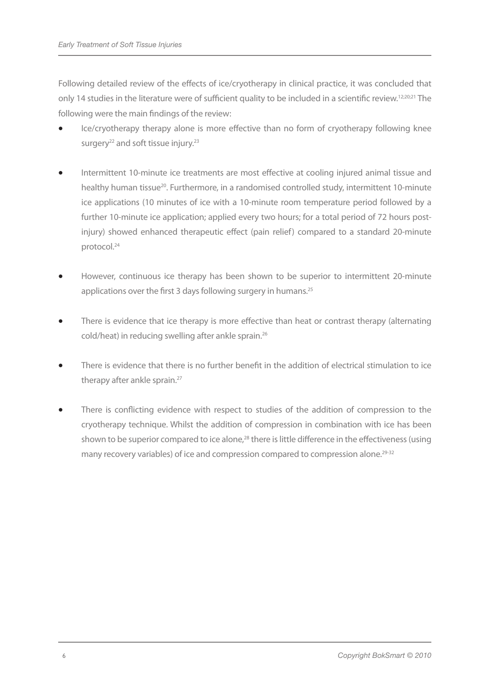Following detailed review of the effects of ice/cryotherapy in clinical practice, it was concluded that only 14 studies in the literature were of sufficient quality to be included in a scientific review.12;20;21 The following were the main findings of the review:

- Ice/cryotherapy therapy alone is more effective than no form of cryotherapy following knee surgery<sup>22</sup> and soft tissue injury.<sup>23</sup>
- Intermittent 10-minute ice treatments are most effective at cooling injured animal tissue and healthy human tissue<sup>20</sup>. Furthermore, in a randomised controlled study, intermittent 10-minute ice applications (10 minutes of ice with a 10-minute room temperature period followed by a further 10-minute ice application; applied every two hours; for a total period of 72 hours postinjury) showed enhanced therapeutic effect (pain relief) compared to a standard 20-minute protocol.24
- However, continuous ice therapy has been shown to be superior to intermittent 20-minute applications over the first 3 days following surgery in humans.<sup>25</sup>
- There is evidence that ice therapy is more effective than heat or contrast therapy (alternating cold/heat) in reducing swelling after ankle sprain.<sup>26</sup>
- There is evidence that there is no further benefit in the addition of electrical stimulation to ice therapy after ankle sprain.<sup>27</sup>
- There is conflicting evidence with respect to studies of the addition of compression to the cryotherapy technique. Whilst the addition of compression in combination with ice has been shown to be superior compared to ice alone,<sup>28</sup> there is little difference in the effectiveness (using many recovery variables) of ice and compression compared to compression alone.<sup>29-32</sup>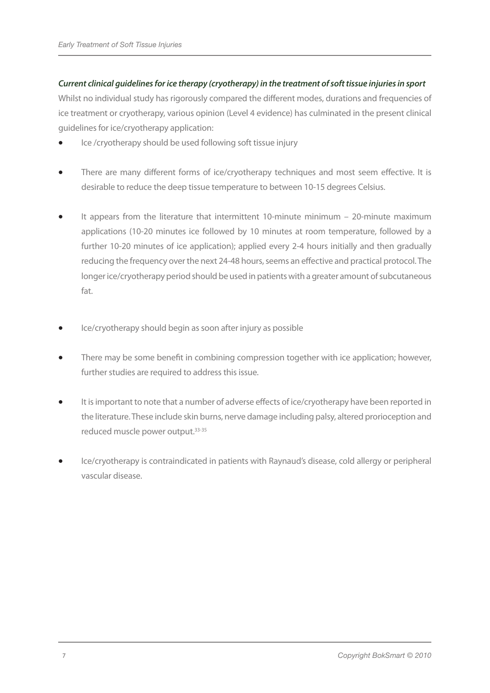#### *Current clinical guidelines for ice therapy (cryotherapy) in the treatment of soft tissue injuries in sport*

Whilst no individual study has rigorously compared the different modes, durations and frequencies of ice treatment or cryotherapy, various opinion (Level 4 evidence) has culminated in the present clinical guidelines for ice/cryotherapy application:

- Ice /cryotherapy should be used following soft tissue injury
- There are many different forms of ice/cryotherapy techniques and most seem effective. It is desirable to reduce the deep tissue temperature to between 10-15 degrees Celsius.
- It appears from the literature that intermittent 10-minute minimum 20-minute maximum applications (10-20 minutes ice followed by 10 minutes at room temperature, followed by a further 10-20 minutes of ice application); applied every 2-4 hours initially and then gradually reducing the frequency over the next 24-48 hours, seems an effective and practical protocol. The longer ice/cryotherapy period should be used in patients with a greater amount of subcutaneous fat.
- Ice/cryotherapy should begin as soon after injury as possible
- There may be some benefit in combining compression together with ice application; however, further studies are required to address this issue.
- It is important to note that a number of adverse effects of ice/cryotherapy have been reported in the literature. These include skin burns, nerve damage including palsy, altered prorioception and reduced muscle power output.<sup>33-35</sup>
- Ice/cryotherapy is contraindicated in patients with Raynaud's disease, cold allergy or peripheral vascular disease.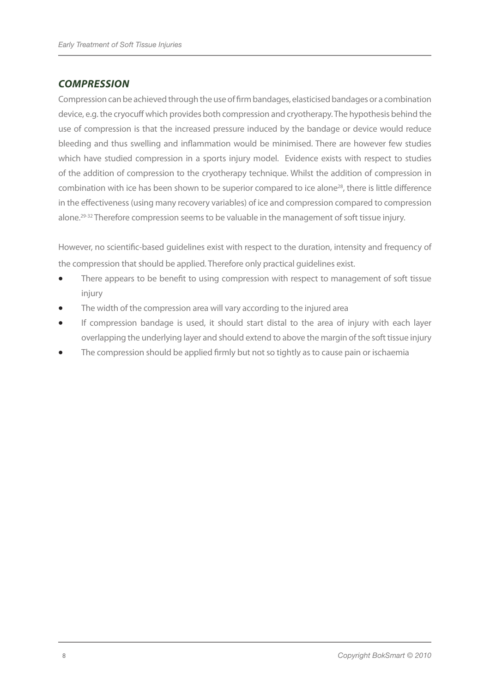## *Compression*

Compression can be achieved through the use of firm bandages, elasticised bandages or a combination device, e.g. the cryocuff which provides both compression and cryotherapy. The hypothesis behind the use of compression is that the increased pressure induced by the bandage or device would reduce bleeding and thus swelling and inflammation would be minimised. There are however few studies which have studied compression in a sports injury model. Evidence exists with respect to studies of the addition of compression to the cryotherapy technique. Whilst the addition of compression in combination with ice has been shown to be superior compared to ice alone<sup>28</sup>, there is little difference in the effectiveness (using many recovery variables) of ice and compression compared to compression alone.29-32 Therefore compression seems to be valuable in the management of soft tissue injury.

However, no scientific-based guidelines exist with respect to the duration, intensity and frequency of the compression that should be applied. Therefore only practical guidelines exist.

- There appears to be benefit to using compression with respect to management of soft tissue injury
- The width of the compression area will vary according to the injured area
- If compression bandage is used, it should start distal to the area of injury with each layer overlapping the underlying layer and should extend to above the margin of the soft tissue injury
- The compression should be applied firmly but not so tightly as to cause pain or ischaemia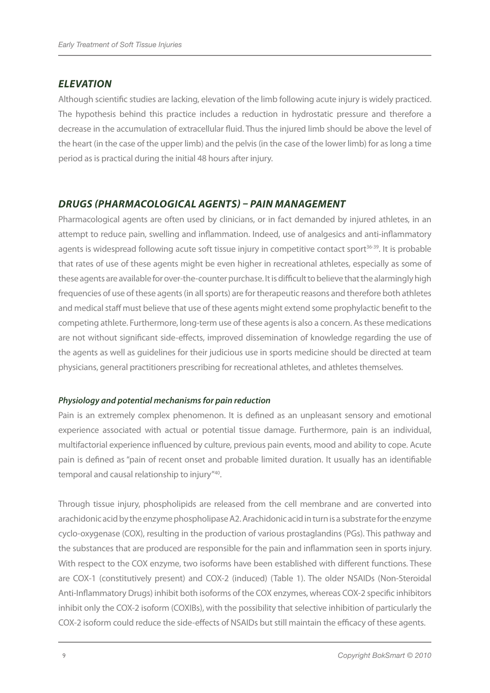#### *Elevation*

Although scientific studies are lacking, elevation of the limb following acute injury is widely practiced. The hypothesis behind this practice includes a reduction in hydrostatic pressure and therefore a decrease in the accumulation of extracellular fluid. Thus the injured limb should be above the level of the heart (in the case of the upper limb) and the pelvis (in the case of the lower limb) for as long a time period as is practical during the initial 48 hours after injury.

## *Drugs (Pharmacological agents) – Pain Management*

Pharmacological agents are often used by clinicians, or in fact demanded by injured athletes, in an attempt to reduce pain, swelling and inflammation. Indeed, use of analgesics and anti-inflammatory agents is widespread following acute soft tissue injury in competitive contact sport<sup>36-39</sup>. It is probable that rates of use of these agents might be even higher in recreational athletes, especially as some of these agents are available for over-the-counter purchase. It is difficult to believe that the alarmingly high frequencies of use of these agents (in all sports) are for therapeutic reasons and therefore both athletes and medical staff must believe that use of these agents might extend some prophylactic benefit to the competing athlete. Furthermore, long-term use of these agents is also a concern. As these medications are not without significant side-effects, improved dissemination of knowledge regarding the use of the agents as well as guidelines for their judicious use in sports medicine should be directed at team physicians, general practitioners prescribing for recreational athletes, and athletes themselves.

#### *Physiology and potential mechanisms for pain reduction*

Pain is an extremely complex phenomenon. It is defined as an unpleasant sensory and emotional experience associated with actual or potential tissue damage. Furthermore, pain is an individual, multifactorial experience influenced by culture, previous pain events, mood and ability to cope. Acute pain is defined as "pain of recent onset and probable limited duration. It usually has an identifiable temporal and causal relationship to injury"40.

Through tissue injury, phospholipids are released from the cell membrane and are converted into arachidonic acid by the enzyme phospholipase A2. Arachidonic acid in turn is a substrate for the enzyme cyclo-oxygenase (COX), resulting in the production of various prostaglandins (PGs). This pathway and the substances that are produced are responsible for the pain and inflammation seen in sports injury. With respect to the COX enzyme, two isoforms have been established with different functions. These are COX-1 (constitutively present) and COX-2 (induced) (Table 1). The older NSAIDs (Non-Steroidal Anti-Inflammatory Drugs) inhibit both isoforms of the COX enzymes, whereas COX-2 specific inhibitors inhibit only the COX-2 isoform (COXIBs), with the possibility that selective inhibition of particularly the COX-2 isoform could reduce the side-effects of NSAIDs but still maintain the efficacy of these agents.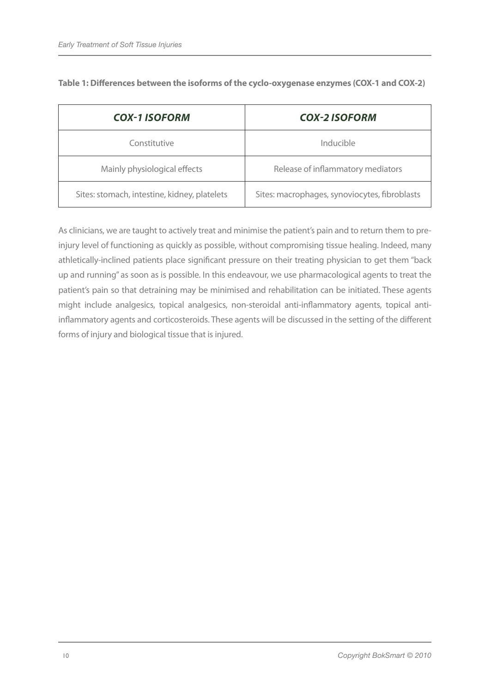| <b>COX-1 ISOFORM</b>                         | <b>COX-2 ISOFORM</b>                          |
|----------------------------------------------|-----------------------------------------------|
| Constitutive                                 | Inducible                                     |
| Mainly physiological effects                 | Release of inflammatory mediators             |
| Sites: stomach, intestine, kidney, platelets | Sites: macrophages, synoviocytes, fibroblasts |

**Table 1: Differences between the isoforms of the cyclo-oxygenase enzymes (COX-1 and COX-2)** 

As clinicians, we are taught to actively treat and minimise the patient's pain and to return them to preinjury level of functioning as quickly as possible, without compromising tissue healing. Indeed, many athletically-inclined patients place significant pressure on their treating physician to get them "back up and running" as soon as is possible. In this endeavour, we use pharmacological agents to treat the patient's pain so that detraining may be minimised and rehabilitation can be initiated. These agents might include analgesics, topical analgesics, non-steroidal anti-inflammatory agents, topical antiinflammatory agents and corticosteroids. These agents will be discussed in the setting of the different forms of injury and biological tissue that is injured.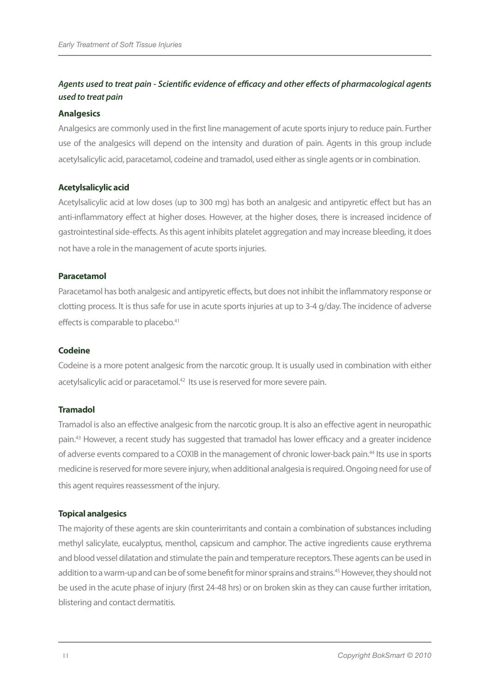## *Agents used to treat pain - Scientific evidence of efficacy and other effects of pharmacological agents used to treat pain*

#### **Analgesics**

Analgesics are commonly used in the first line management of acute sports injury to reduce pain. Further use of the analgesics will depend on the intensity and duration of pain. Agents in this group include acetylsalicylic acid, paracetamol, codeine and tramadol, used either as single agents or in combination.

#### **Acetylsalicylic acid**

Acetylsalicylic acid at low doses (up to 300 mg) has both an analgesic and antipyretic effect but has an anti-inflammatory effect at higher doses. However, at the higher doses, there is increased incidence of gastrointestinal side-effects. As this agent inhibits platelet aggregation and may increase bleeding, it does not have a role in the management of acute sports injuries.

#### **Paracetamol**

Paracetamol has both analgesic and antipyretic effects, but does not inhibit the inflammatory response or clotting process. It is thus safe for use in acute sports injuries at up to 3-4 g/day. The incidence of adverse effects is comparable to placebo.<sup>41</sup>

#### **Codeine**

Codeine is a more potent analgesic from the narcotic group. It is usually used in combination with either acetylsalicylic acid or paracetamol.<sup>42</sup> Its use is reserved for more severe pain.

#### **Tramadol**

Tramadol is also an effective analgesic from the narcotic group. It is also an effective agent in neuropathic pain.43 However, a recent study has suggested that tramadol has lower efficacy and a greater incidence of adverse events compared to a COXIB in the management of chronic lower-back pain.<sup>44</sup> Its use in sports medicine is reserved for more severe injury, when additional analgesia is required. Ongoing need for use of this agent requires reassessment of the injury.

#### **Topical analgesics**

The majority of these agents are skin counterirritants and contain a combination of substances including methyl salicylate, eucalyptus, menthol, capsicum and camphor. The active ingredients cause erythrema and blood vessel dilatation and stimulate the pain and temperature receptors. These agents can be used in addition to a warm-up and can be of some benefit for minor sprains and strains.<sup>45</sup> However, they should not be used in the acute phase of injury (first 24-48 hrs) or on broken skin as they can cause further irritation, blistering and contact dermatitis.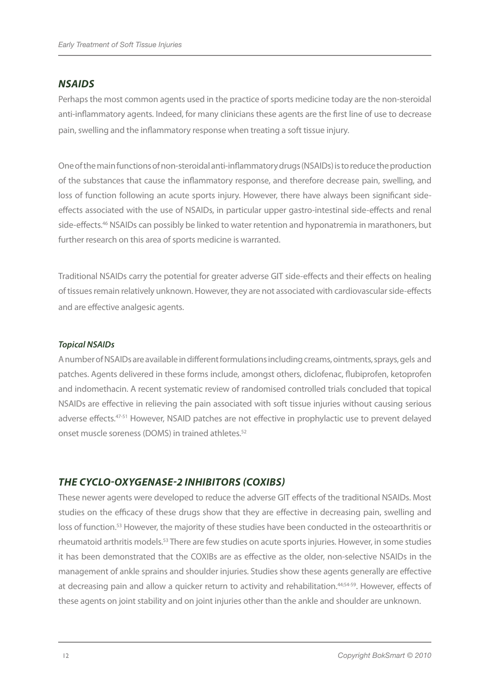#### *NSAIDs*

Perhaps the most common agents used in the practice of sports medicine today are the non-steroidal anti-inflammatory agents. Indeed, for many clinicians these agents are the first line of use to decrease pain, swelling and the inflammatory response when treating a soft tissue injury.

One of the main functions of non-steroidal anti-inflammatory drugs (NSAIDs) is to reduce the production of the substances that cause the inflammatory response, and therefore decrease pain, swelling, and loss of function following an acute sports injury. However, there have always been significant sideeffects associated with the use of NSAIDs, in particular upper gastro-intestinal side-effects and renal side-effects.<sup>46</sup> NSAIDs can possibly be linked to water retention and hyponatremia in marathoners, but further research on this area of sports medicine is warranted.

Traditional NSAIDs carry the potential for greater adverse GIT side-effects and their effects on healing of tissues remain relatively unknown. However, they are not associated with cardiovascular side-effects and are effective analgesic agents.

#### *Topical NSAIDs*

A number of NSAIDs are available in different formulations including creams, ointments, sprays, gels and patches. Agents delivered in these forms include, amongst others, diclofenac, flubiprofen, ketoprofen and indomethacin. A recent systematic review of randomised controlled trials concluded that topical NSAIDs are effective in relieving the pain associated with soft tissue injuries without causing serious adverse effects.<sup>47-51</sup> However, NSAID patches are not effective in prophylactic use to prevent delayed onset muscle soreness (DOMS) in trained athletes.52

## *The Cyclo-Oxygenase-2 Inhibitors (COXIBs)*

These newer agents were developed to reduce the adverse GIT effects of the traditional NSAIDs. Most studies on the efficacy of these drugs show that they are effective in decreasing pain, swelling and loss of function.53 However, the majority of these studies have been conducted in the osteoarthritis or rheumatoid arthritis models.53 There are few studies on acute sports injuries. However, in some studies it has been demonstrated that the COXIBs are as effective as the older, non-selective NSAIDs in the management of ankle sprains and shoulder injuries. Studies show these agents generally are effective at decreasing pain and allow a quicker return to activity and rehabilitation.<sup>44;54-59</sup>. However, effects of these agents on joint stability and on joint injuries other than the ankle and shoulder are unknown.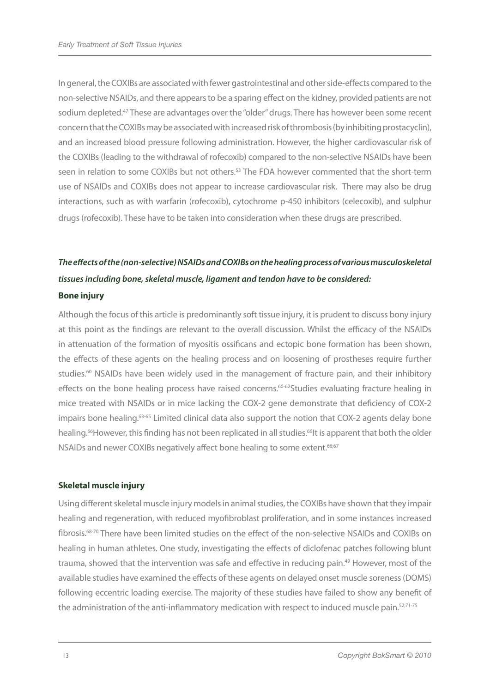In general, the COXIBs are associated with fewer gastrointestinal and other side-effects compared to the non-selective NSAIDs, and there appears to be a sparing effect on the kidney, provided patients are not sodium depleted.<sup>47</sup> These are advantages over the "older" drugs. There has however been some recent concern that the COXIBs may be associated with increased risk of thrombosis (by inhibiting prostacyclin), and an increased blood pressure following administration. However, the higher cardiovascular risk of the COXIBs (leading to the withdrawal of rofecoxib) compared to the non-selective NSAIDs have been seen in relation to some COXIBs but not others.<sup>53</sup> The FDA however commented that the short-term use of NSAIDs and COXIBs does not appear to increase cardiovascular risk. There may also be drug interactions, such as with warfarin (rofecoxib), cytochrome p-450 inhibitors (celecoxib), and sulphur drugs (rofecoxib). These have to be taken into consideration when these drugs are prescribed.

# *The effects of the (non-selective) NSAIDs and COXIBs on the healing process of various musculoskeletal tissues including bone, skeletal muscle, ligament and tendon have to be considered:* **Bone injury**

Although the focus of this article is predominantly soft tissue injury, it is prudent to discuss bony injury at this point as the findings are relevant to the overall discussion. Whilst the efficacy of the NSAIDs in attenuation of the formation of myositis ossificans and ectopic bone formation has been shown, the effects of these agents on the healing process and on loosening of prostheses require further studies.<sup>60</sup> NSAIDs have been widely used in the management of fracture pain, and their inhibitory effects on the bone healing process have raised concerns.<sup>60-62</sup>Studies evaluating fracture healing in mice treated with NSAIDs or in mice lacking the COX-2 gene demonstrate that deficiency of COX-2 impairs bone healing.<sup>63-65</sup> Limited clinical data also support the notion that COX-2 agents delay bone healing.<sup>66</sup>However, this finding has not been replicated in all studies.<sup>66</sup>It is apparent that both the older NSAIDs and newer COXIBs negatively affect bone healing to some extent.<sup>66;67</sup>

#### **Skeletal muscle injury**

Using different skeletal muscle injury models in animal studies, the COXIBs have shown that they impair healing and regeneration, with reduced myofibroblast proliferation, and in some instances increased fibrosis.<sup>68-70</sup> There have been limited studies on the effect of the non-selective NSAIDs and COXIBs on healing in human athletes. One study, investigating the effects of diclofenac patches following blunt trauma, showed that the intervention was safe and effective in reducing pain.49 However, most of the available studies have examined the effects of these agents on delayed onset muscle soreness (DOMS) following eccentric loading exercise. The majority of these studies have failed to show any benefit of the administration of the anti-inflammatory medication with respect to induced muscle pain.<sup>52;71-75</sup>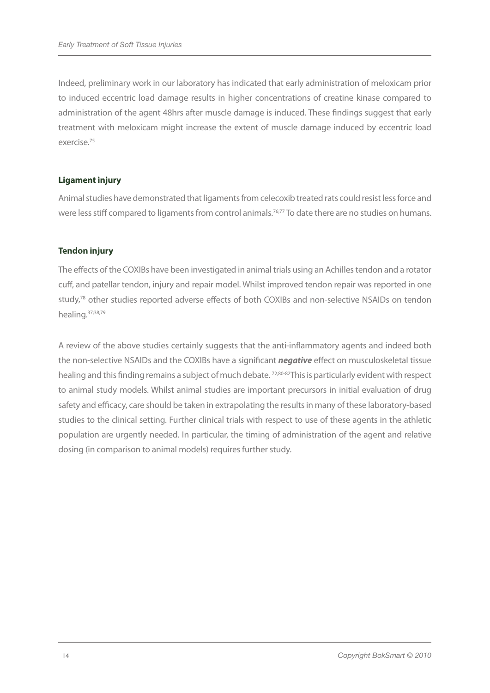Indeed, preliminary work in our laboratory has indicated that early administration of meloxicam prior to induced eccentric load damage results in higher concentrations of creatine kinase compared to administration of the agent 48hrs after muscle damage is induced. These findings suggest that early treatment with meloxicam might increase the extent of muscle damage induced by eccentric load exercise.75

#### **Ligament injury**

Animal studies have demonstrated that ligaments from celecoxib treated rats could resist less force and were less stiff compared to ligaments from control animals.<sup>76;77</sup> To date there are no studies on humans.

#### **Tendon injury**

The effects of the COXIBs have been investigated in animal trials using an Achilles tendon and a rotator cuff, and patellar tendon, injury and repair model. Whilst improved tendon repair was reported in one study,<sup>78</sup> other studies reported adverse effects of both COXIBs and non-selective NSAIDs on tendon healing.37;38;79

A review of the above studies certainly suggests that the anti-inflammatory agents and indeed both the non-selective NSAIDs and the COXIBs have a significant *negative* effect on musculoskeletal tissue healing and this finding remains a subject of much debate. <sup>72,80-82</sup>This is particularly evident with respect to animal study models. Whilst animal studies are important precursors in initial evaluation of drug safety and efficacy, care should be taken in extrapolating the results in many of these laboratory-based studies to the clinical setting. Further clinical trials with respect to use of these agents in the athletic population are urgently needed. In particular, the timing of administration of the agent and relative dosing (in comparison to animal models) requires further study.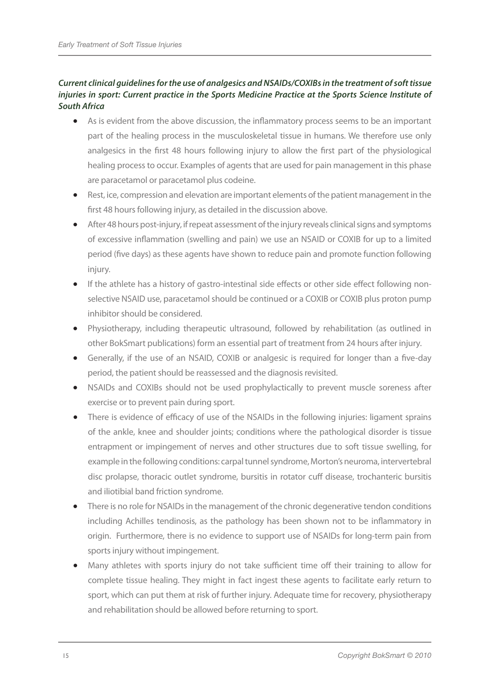## *Current clinical guidelines for the use of analgesics and NSAIDs/COXIBs in the treatment of soft tissue injuries in sport: Current practice in the Sports Medicine Practice at the Sports Science Institute of South Africa*

- As is evident from the above discussion, the inflammatory process seems to be an important part of the healing process in the musculoskeletal tissue in humans. We therefore use only analgesics in the first 48 hours following injury to allow the first part of the physiological healing process to occur. Examples of agents that are used for pain management in this phase are paracetamol or paracetamol plus codeine.
- Rest, ice, compression and elevation are important elements of the patient management in the first 48 hours following injury, as detailed in the discussion above.
- • After 48 hours post-injury, if repeat assessment of the injury reveals clinical signs and symptoms of excessive inflammation (swelling and pain) we use an NSAID or COXIB for up to a limited period (five days) as these agents have shown to reduce pain and promote function following injury.
- If the athlete has a history of gastro-intestinal side effects or other side effect following nonselective NSAID use, paracetamol should be continued or a COXIB or COXIB plus proton pump inhibitor should be considered.
- Physiotherapy, including therapeutic ultrasound, followed by rehabilitation (as outlined in other BokSmart publications) form an essential part of treatment from 24 hours after injury.
- Generally, if the use of an NSAID, COXIB or analgesic is required for longer than a five-day period, the patient should be reassessed and the diagnosis revisited.
- NSAIDs and COXIBs should not be used prophylactically to prevent muscle soreness after exercise or to prevent pain during sport.
- There is evidence of efficacy of use of the NSAIDs in the following injuries: ligament sprains of the ankle, knee and shoulder joints; conditions where the pathological disorder is tissue entrapment or impingement of nerves and other structures due to soft tissue swelling, for example in the following conditions: carpal tunnel syndrome, Morton's neuroma, intervertebral disc prolapse, thoracic outlet syndrome, bursitis in rotator cuff disease, trochanteric bursitis and iliotibial band friction syndrome.
- There is no role for NSAIDs in the management of the chronic degenerative tendon conditions including Achilles tendinosis, as the pathology has been shown not to be inflammatory in origin. Furthermore, there is no evidence to support use of NSAIDs for long-term pain from sports injury without impingement.
- Many athletes with sports injury do not take sufficient time off their training to allow for complete tissue healing. They might in fact ingest these agents to facilitate early return to sport, which can put them at risk of further injury. Adequate time for recovery, physiotherapy and rehabilitation should be allowed before returning to sport.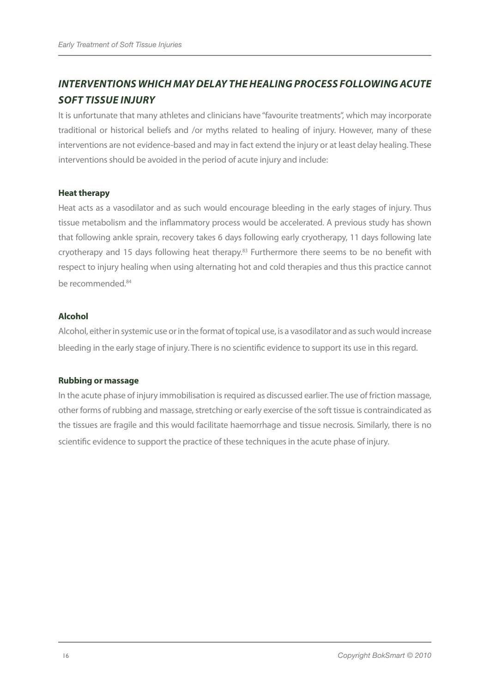# *Interventions which may delay the healing process following acute soft tissue injury*

It is unfortunate that many athletes and clinicians have "favourite treatments", which may incorporate traditional or historical beliefs and /or myths related to healing of injury. However, many of these interventions are not evidence-based and may in fact extend the injury or at least delay healing. These interventions should be avoided in the period of acute injury and include:

#### **Heat therapy**

Heat acts as a vasodilator and as such would encourage bleeding in the early stages of injury. Thus tissue metabolism and the inflammatory process would be accelerated. A previous study has shown that following ankle sprain, recovery takes 6 days following early cryotherapy, 11 days following late cryotherapy and 15 days following heat therapy.<sup>83</sup> Furthermore there seems to be no benefit with respect to injury healing when using alternating hot and cold therapies and thus this practice cannot be recommended.84

#### **Alcohol**

Alcohol, either in systemic use or in the format of topical use, is a vasodilator and as such would increase bleeding in the early stage of injury. There is no scientific evidence to support its use in this regard.

#### **Rubbing or massage**

In the acute phase of injury immobilisation is required as discussed earlier. The use of friction massage, other forms of rubbing and massage, stretching or early exercise of the soft tissue is contraindicated as the tissues are fragile and this would facilitate haemorrhage and tissue necrosis. Similarly, there is no scientific evidence to support the practice of these techniques in the acute phase of injury.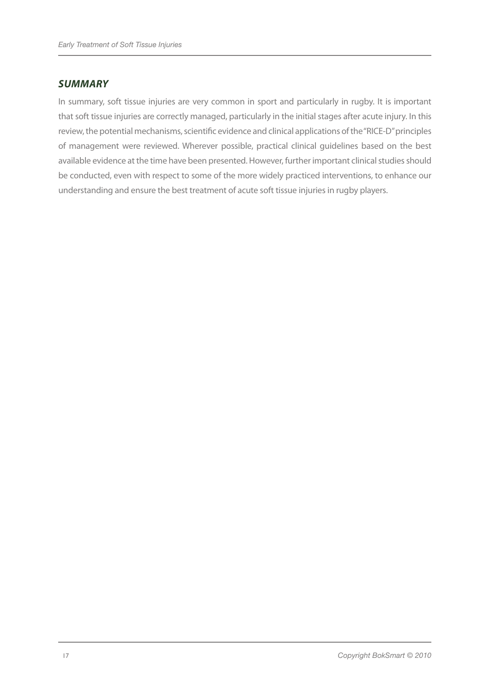#### *SUMMARY*

In summary, soft tissue injuries are very common in sport and particularly in rugby. It is important that soft tissue injuries are correctly managed, particularly in the initial stages after acute injury. In this review, the potential mechanisms, scientific evidence and clinical applications of the "RICE-D" principles of management were reviewed. Wherever possible, practical clinical guidelines based on the best available evidence at the time have been presented. However, further important clinical studies should be conducted, even with respect to some of the more widely practiced interventions, to enhance our understanding and ensure the best treatment of acute soft tissue injuries in rugby players.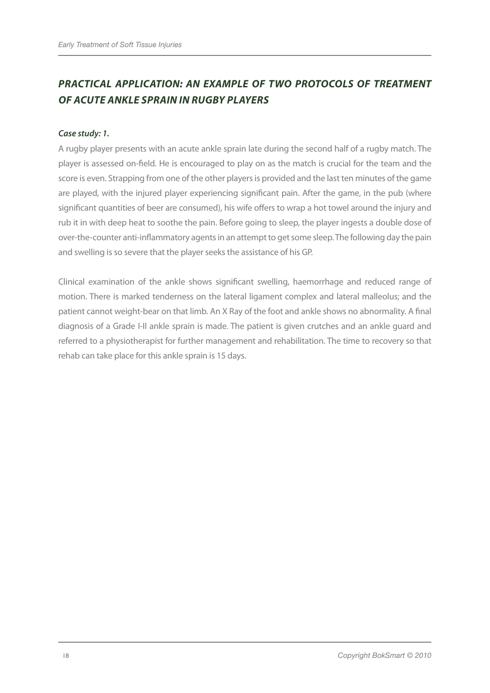# *PRACTICAL APPLICATION: AN EXAMPLE OF TWO PROTOCOLS OF TREATMENT OF ACUTE ANKLE SPRAIN IN RUGBY PLAYERS*

#### *Case study: 1.*

A rugby player presents with an acute ankle sprain late during the second half of a rugby match. The player is assessed on-field. He is encouraged to play on as the match is crucial for the team and the score is even. Strapping from one of the other players is provided and the last ten minutes of the game are played, with the injured player experiencing significant pain. After the game, in the pub (where significant quantities of beer are consumed), his wife offers to wrap a hot towel around the injury and rub it in with deep heat to soothe the pain. Before going to sleep, the player ingests a double dose of over-the-counter anti-inflammatory agents in an attempt to get some sleep. The following day the pain and swelling is so severe that the player seeks the assistance of his GP.

Clinical examination of the ankle shows significant swelling, haemorrhage and reduced range of motion. There is marked tenderness on the lateral ligament complex and lateral malleolus; and the patient cannot weight-bear on that limb. An X Ray of the foot and ankle shows no abnormality. A final diagnosis of a Grade I-II ankle sprain is made. The patient is given crutches and an ankle guard and referred to a physiotherapist for further management and rehabilitation. The time to recovery so that rehab can take place for this ankle sprain is 15 days.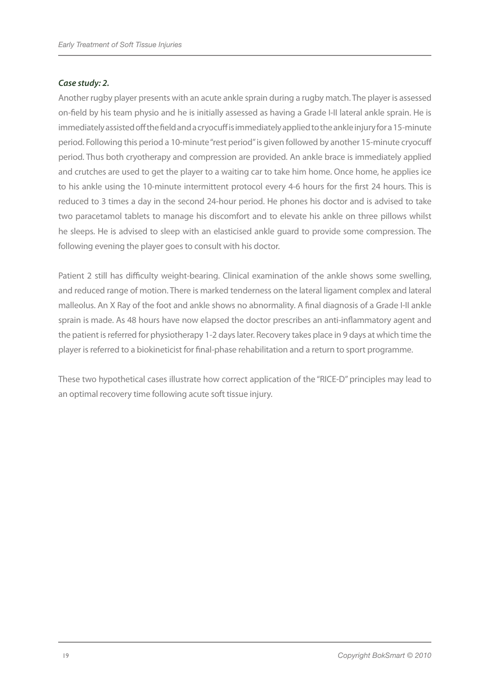#### *Case study: 2.*

Another rugby player presents with an acute ankle sprain during a rugby match. The player is assessed on-field by his team physio and he is initially assessed as having a Grade I-II lateral ankle sprain. He is immediately assisted off the field and a cryocuff is immediately applied to the ankle injury for a 15-minute period. Following this period a 10-minute "rest period" is given followed by another 15-minute cryocuff period. Thus both cryotherapy and compression are provided. An ankle brace is immediately applied and crutches are used to get the player to a waiting car to take him home. Once home, he applies ice to his ankle using the 10-minute intermittent protocol every 4-6 hours for the first 24 hours. This is reduced to 3 times a day in the second 24-hour period. He phones his doctor and is advised to take two paracetamol tablets to manage his discomfort and to elevate his ankle on three pillows whilst he sleeps. He is advised to sleep with an elasticised ankle guard to provide some compression. The following evening the player goes to consult with his doctor.

Patient 2 still has difficulty weight-bearing. Clinical examination of the ankle shows some swelling, and reduced range of motion. There is marked tenderness on the lateral ligament complex and lateral malleolus. An X Ray of the foot and ankle shows no abnormality. A final diagnosis of a Grade I-II ankle sprain is made. As 48 hours have now elapsed the doctor prescribes an anti-inflammatory agent and the patient is referred for physiotherapy 1-2 days later. Recovery takes place in 9 days at which time the player is referred to a biokineticist for final-phase rehabilitation and a return to sport programme.

These two hypothetical cases illustrate how correct application of the "RICE-D" principles may lead to an optimal recovery time following acute soft tissue injury.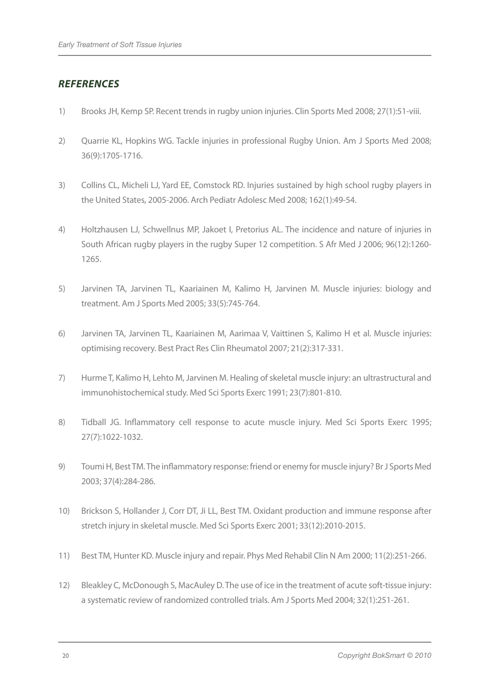## *References*

- 1) Brooks JH, Kemp SP. Recent trends in rugby union injuries. Clin Sports Med 2008; 27(1):51-viii.
- 2) Quarrie KL, Hopkins WG. Tackle injuries in professional Rugby Union. Am J Sports Med 2008; 36(9):1705-1716.
- 3) Collins CL, Micheli LJ, Yard EE, Comstock RD. Injuries sustained by high school rugby players in the United States, 2005-2006. Arch Pediatr Adolesc Med 2008; 162(1):49-54.
- 4) Holtzhausen LJ, Schwellnus MP, Jakoet I, Pretorius AL. The incidence and nature of injuries in South African rugby players in the rugby Super 12 competition. S Afr Med J 2006; 96(12):1260- 1265.
- 5) Jarvinen TA, Jarvinen TL, Kaariainen M, Kalimo H, Jarvinen M. Muscle injuries: biology and treatment. Am J Sports Med 2005; 33(5):745-764.
- 6) Jarvinen TA, Jarvinen TL, Kaariainen M, Aarimaa V, Vaittinen S, Kalimo H et al. Muscle injuries: optimising recovery. Best Pract Res Clin Rheumatol 2007; 21(2):317-331.
- 7) Hurme T, Kalimo H, Lehto M, Jarvinen M. Healing of skeletal muscle injury: an ultrastructural and immunohistochemical study. Med Sci Sports Exerc 1991; 23(7):801-810.
- 8) Tidball JG. Inflammatory cell response to acute muscle injury. Med Sci Sports Exerc 1995; 27(7):1022-1032.
- 9) Toumi H, Best TM. The inflammatory response: friend or enemy for muscle injury? Br J Sports Med 2003; 37(4):284-286.
- 10) Brickson S, Hollander J, Corr DT, Ji LL, Best TM. Oxidant production and immune response after stretch injury in skeletal muscle. Med Sci Sports Exerc 2001; 33(12):2010-2015.
- 11) Best TM, Hunter KD. Muscle injury and repair. Phys Med Rehabil Clin N Am 2000; 11(2):251-266.
- 12) Bleakley C, McDonough S, MacAuley D. The use of ice in the treatment of acute soft-tissue injury: a systematic review of randomized controlled trials. Am J Sports Med 2004; 32(1):251-261.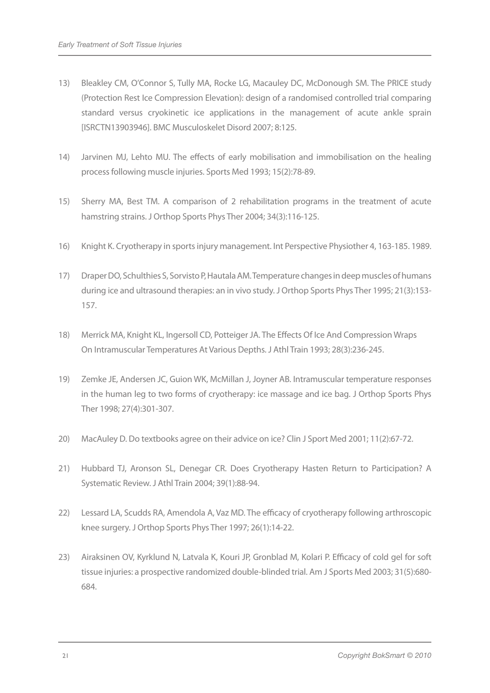- 13) Bleakley CM, O'Connor S, Tully MA, Rocke LG, Macauley DC, McDonough SM. The PRICE study (Protection Rest Ice Compression Elevation): design of a randomised controlled trial comparing standard versus cryokinetic ice applications in the management of acute ankle sprain [ISRCTN13903946]. BMC Musculoskelet Disord 2007; 8:125.
- 14) Jarvinen MJ, Lehto MU. The effects of early mobilisation and immobilisation on the healing process following muscle injuries. Sports Med 1993; 15(2):78-89.
- 15) Sherry MA, Best TM. A comparison of 2 rehabilitation programs in the treatment of acute hamstring strains. J Orthop Sports Phys Ther 2004; 34(3):116-125.
- 16) Knight K. Cryotherapy in sports injury management. Int Perspective Physiother 4, 163-185. 1989.
- 17) Draper DO, Schulthies S, Sorvisto P, Hautala AM. Temperature changes in deep muscles of humans during ice and ultrasound therapies: an in vivo study. J Orthop Sports Phys Ther 1995; 21(3):153- 157.
- 18) Merrick MA, Knight KL, Ingersoll CD, Potteiger JA. The Effects Of Ice And Compression Wraps On Intramuscular Temperatures At Various Depths. J Athl Train 1993; 28(3):236-245.
- 19) Zemke JE, Andersen JC, Guion WK, McMillan J, Joyner AB. Intramuscular temperature responses in the human leg to two forms of cryotherapy: ice massage and ice bag. J Orthop Sports Phys Ther 1998; 27(4):301-307.
- 20) MacAuley D. Do textbooks agree on their advice on ice? Clin J Sport Med 2001; 11(2):67-72.
- 21) Hubbard TJ, Aronson SL, Denegar CR. Does Cryotherapy Hasten Return to Participation? A Systematic Review. J Athl Train 2004; 39(1):88-94.
- 22) Lessard LA, Scudds RA, Amendola A, Vaz MD. The efficacy of cryotherapy following arthroscopic knee surgery. J Orthop Sports Phys Ther 1997; 26(1):14-22.
- 23) Airaksinen OV, Kyrklund N, Latvala K, Kouri JP, Gronblad M, Kolari P. Efficacy of cold gel for soft tissue injuries: a prospective randomized double-blinded trial. Am J Sports Med 2003; 31(5):680- 684.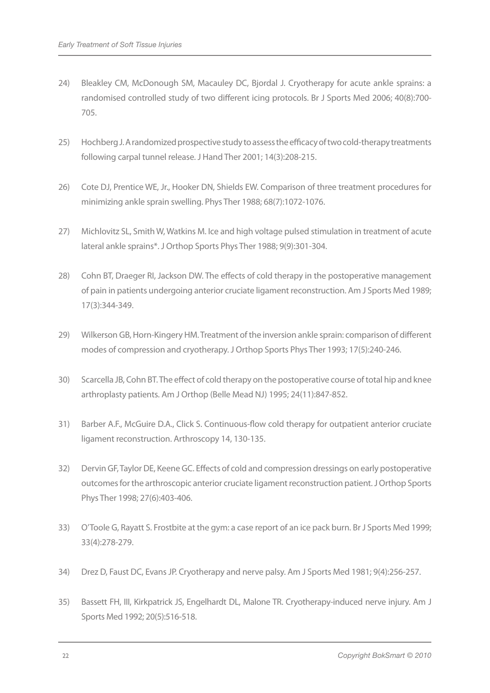- 24) Bleakley CM, McDonough SM, Macauley DC, Bjordal J. Cryotherapy for acute ankle sprains: a randomised controlled study of two different icing protocols. Br J Sports Med 2006; 40(8):700- 705.
- 25) Hochberg J. A randomized prospective study to assess the efficacy of two cold-therapy treatments following carpal tunnel release. J Hand Ther 2001; 14(3):208-215.
- 26) Cote DJ, Prentice WE, Jr., Hooker DN, Shields EW. Comparison of three treatment procedures for minimizing ankle sprain swelling. Phys Ther 1988; 68(7):1072-1076.
- 27) Michlovitz SL, Smith W, Watkins M. Ice and high voltage pulsed stimulation in treatment of acute lateral ankle sprains\*. J Orthop Sports Phys Ther 1988; 9(9):301-304.
- 28) Cohn BT, Draeger RI, Jackson DW. The effects of cold therapy in the postoperative management of pain in patients undergoing anterior cruciate ligament reconstruction. Am J Sports Med 1989; 17(3):344-349.
- 29) Wilkerson GB, Horn-Kingery HM. Treatment of the inversion ankle sprain: comparison of different modes of compression and cryotherapy. J Orthop Sports Phys Ther 1993; 17(5):240-246.
- 30) Scarcella JB, Cohn BT. The effect of cold therapy on the postoperative course of total hip and knee arthroplasty patients. Am J Orthop (Belle Mead NJ) 1995; 24(11):847-852.
- 31) Barber A.F., McGuire D.A., Click S. Continuous-flow cold therapy for outpatient anterior cruciate ligament reconstruction. Arthroscopy 14, 130-135.
- 32) Dervin GF, Taylor DE, Keene GC. Effects of cold and compression dressings on early postoperative outcomes for the arthroscopic anterior cruciate ligament reconstruction patient. J Orthop Sports Phys Ther 1998; 27(6):403-406.
- 33) O'Toole G, Rayatt S. Frostbite at the gym: a case report of an ice pack burn. Br J Sports Med 1999; 33(4):278-279.
- 34) Drez D, Faust DC, Evans JP. Cryotherapy and nerve palsy. Am J Sports Med 1981; 9(4):256-257.
- 35) Bassett FH, III, Kirkpatrick JS, Engelhardt DL, Malone TR. Cryotherapy-induced nerve injury. Am J Sports Med 1992; 20(5):516-518.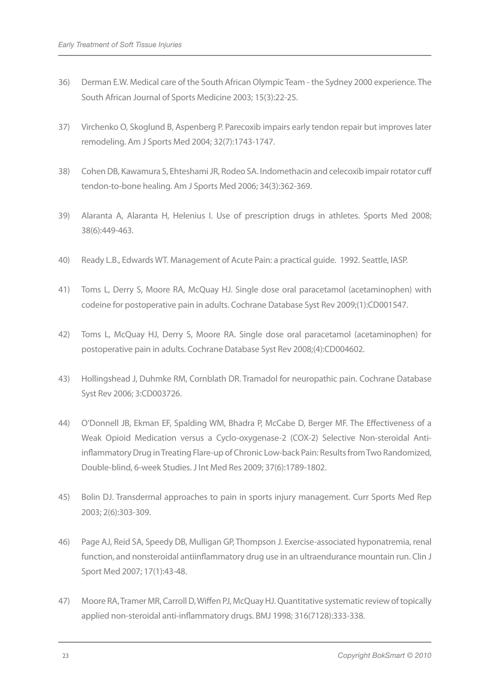- 36) Derman E.W. Medical care of the South African Olympic Team the Sydney 2000 experience. The South African Journal of Sports Medicine 2003; 15(3):22-25.
- 37) Virchenko O, Skoglund B, Aspenberg P. Parecoxib impairs early tendon repair but improves later remodeling. Am J Sports Med 2004; 32(7):1743-1747.
- 38) Cohen DB, Kawamura S, Ehteshami JR, Rodeo SA. Indomethacin and celecoxib impair rotator cuff tendon-to-bone healing. Am J Sports Med 2006; 34(3):362-369.
- 39) Alaranta A, Alaranta H, Helenius I. Use of prescription drugs in athletes. Sports Med 2008; 38(6):449-463.
- 40) Ready L.B., Edwards WT. Management of Acute Pain: a practical guide. 1992. Seattle, IASP.
- 41) Toms L, Derry S, Moore RA, McQuay HJ. Single dose oral paracetamol (acetaminophen) with codeine for postoperative pain in adults. Cochrane Database Syst Rev 2009;(1):CD001547.
- 42) Toms L, McQuay HJ, Derry S, Moore RA. Single dose oral paracetamol (acetaminophen) for postoperative pain in adults. Cochrane Database Syst Rev 2008;(4):CD004602.
- 43) Hollingshead J, Duhmke RM, Cornblath DR. Tramadol for neuropathic pain. Cochrane Database Syst Rev 2006; 3:CD003726.
- 44) O'Donnell JB, Ekman EF, Spalding WM, Bhadra P, McCabe D, Berger MF. The Effectiveness of a Weak Opioid Medication versus a Cyclo-oxygenase-2 (COX-2) Selective Non-steroidal Antiinflammatory Drug in Treating Flare-up of Chronic Low-back Pain: Results from Two Randomized, Double-blind, 6-week Studies. J Int Med Res 2009; 37(6):1789-1802.
- 45) Bolin DJ. Transdermal approaches to pain in sports injury management. Curr Sports Med Rep 2003; 2(6):303-309.
- 46) Page AJ, Reid SA, Speedy DB, Mulligan GP, Thompson J. Exercise-associated hyponatremia, renal function, and nonsteroidal antiinflammatory drug use in an ultraendurance mountain run. Clin J Sport Med 2007; 17(1):43-48.
- 47) Moore RA, Tramer MR, Carroll D, Wiffen PJ, McQuay HJ. Quantitative systematic review of topically applied non-steroidal anti-inflammatory drugs. BMJ 1998; 316(7128):333-338.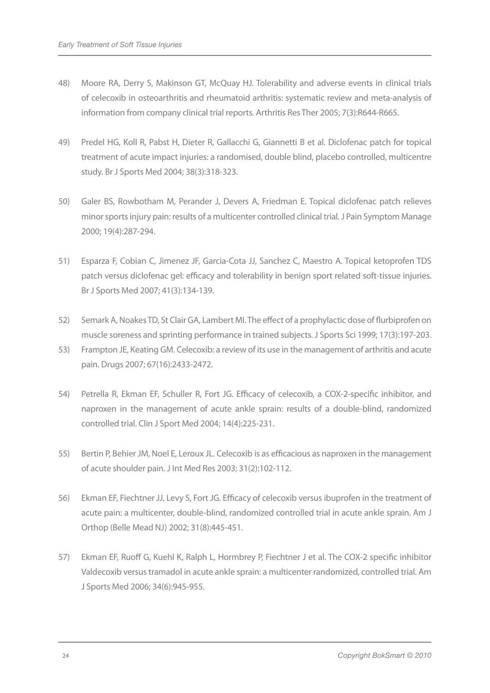- 48) Moore RA, Derry S, Makinson GT, McQuay HJ. Tolerability and adverse events in clinical trials of celecoxib in osteoarthritis and rheumatoid arthritis: systematic review and meta-analysis of information from company clinical trial reports. Arthritis Res Ther 2005; 7(3):R644-R665.
- 49) Predel HG, Koll R, Pabst H, Dieter R, Gallacchi G, Giannetti B et al. Diclofenac patch for topical treatment of acute impact injuries: a randomised, double blind, placebo controlled, multicentre study. Br J Sports Med 2004; 38(3):318-323.
- 50) Galer BS, Rowbotham M, Perander J, Devers A, Friedman E. Topical diclofenac patch relieves minor sports injury pain: results of a multicenter controlled clinical trial. J Pain Symptom Manage 2000; 19(4):287-294.
- 51) Esparza F, Cobian C, Jimenez JF, Garcia-Cota JJ, Sanchez C, Maestro A. Topical ketoprofen TDS patch versus diclofenac gel: efficacy and tolerability in benign sport related soft-tissue injuries. Br J Sports Med 2007; 41(3):134-139.
- 52) Semark A, Noakes TD, St Clair GA, Lambert MI. The effect of a prophylactic dose of flurbiprofen on muscle soreness and sprinting performance in trained subjects. J Sports Sci 1999; 17(3):197-203.
- 53) Frampton JE, Keating GM. Celecoxib: a review of its use in the management of arthritis and acute pain. Drugs 2007; 67(16):2433-2472.
- 54) Petrella R, Ekman EF, Schuller R, Fort JG. Efficacy of celecoxib, a COX-2-specific inhibitor, and naproxen in the management of acute ankle sprain: results of a double-blind, randomized controlled trial. Clin J Sport Med 2004; 14(4):225-231.
- 55) Bertin P, Behier JM, Noel E, Leroux JL. Celecoxib is as efficacious as naproxen in the management of acute shoulder pain. J Int Med Res 2003; 31(2):102-112.
- 56) Ekman EF, Fiechtner JJ, Levy S, Fort JG. Efficacy of celecoxib versus ibuprofen in the treatment of acute pain: a multicenter, double-blind, randomized controlled trial in acute ankle sprain. Am J Orthop (Belle Mead NJ) 2002; 31(8):445-451.
- 57) Ekman EF, Ruoff G, Kuehl K, Ralph L, Hormbrey P, Fiechtner J et al. The COX-2 specific inhibitor Valdecoxib versus tramadol in acute ankle sprain: a multicenter randomized, controlled trial. Am J Sports Med 2006; 34(6):945-955.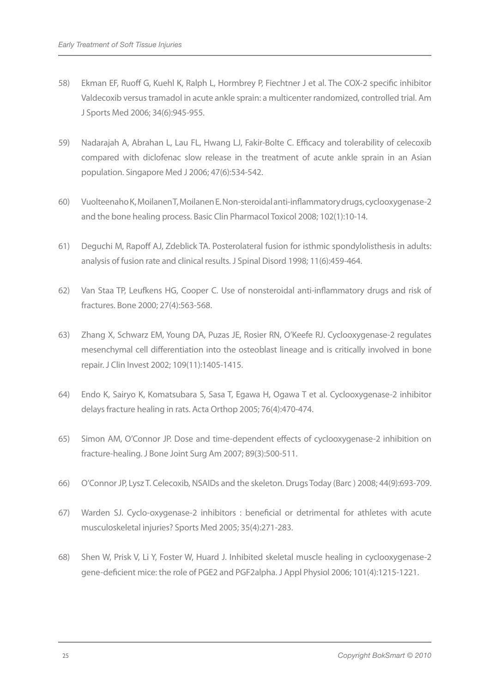- 58) Ekman EF, Ruoff G, Kuehl K, Ralph L, Hormbrey P, Fiechtner J et al. The COX-2 specific inhibitor Valdecoxib versus tramadol in acute ankle sprain: a multicenter randomized, controlled trial. Am J Sports Med 2006; 34(6):945-955.
- 59) Nadarajah A, Abrahan L, Lau FL, Hwang LJ, Fakir-Bolte C. Efficacy and tolerability of celecoxib compared with diclofenac slow release in the treatment of acute ankle sprain in an Asian population. Singapore Med J 2006; 47(6):534-542.
- 60) Vuolteenaho K, Moilanen T, Moilanen E. Non-steroidal anti-inflammatory drugs, cyclooxygenase-2 and the bone healing process. Basic Clin Pharmacol Toxicol 2008; 102(1):10-14.
- 61) Deguchi M, Rapoff AJ, Zdeblick TA. Posterolateral fusion for isthmic spondylolisthesis in adults: analysis of fusion rate and clinical results. J Spinal Disord 1998; 11(6):459-464.
- 62) Van Staa TP, Leufkens HG, Cooper C. Use of nonsteroidal anti-inflammatory drugs and risk of fractures. Bone 2000; 27(4):563-568.
- 63) Zhang X, Schwarz EM, Young DA, Puzas JE, Rosier RN, O'Keefe RJ. Cyclooxygenase-2 regulates mesenchymal cell differentiation into the osteoblast lineage and is critically involved in bone repair. J Clin Invest 2002; 109(11):1405-1415.
- 64) Endo K, Sairyo K, Komatsubara S, Sasa T, Egawa H, Ogawa T et al. Cyclooxygenase-2 inhibitor delays fracture healing in rats. Acta Orthop 2005; 76(4):470-474.
- 65) Simon AM, O'Connor JP. Dose and time-dependent effects of cyclooxygenase-2 inhibition on fracture-healing. J Bone Joint Surg Am 2007; 89(3):500-511.
- 66) O'Connor JP, Lysz T. Celecoxib, NSAIDs and the skeleton. Drugs Today (Barc ) 2008; 44(9):693-709.
- 67) Warden SJ. Cyclo-oxygenase-2 inhibitors : beneficial or detrimental for athletes with acute musculoskeletal injuries? Sports Med 2005; 35(4):271-283.
- 68) Shen W, Prisk V, Li Y, Foster W, Huard J. Inhibited skeletal muscle healing in cyclooxygenase-2 gene-deficient mice: the role of PGE2 and PGF2alpha. J Appl Physiol 2006; 101(4):1215-1221.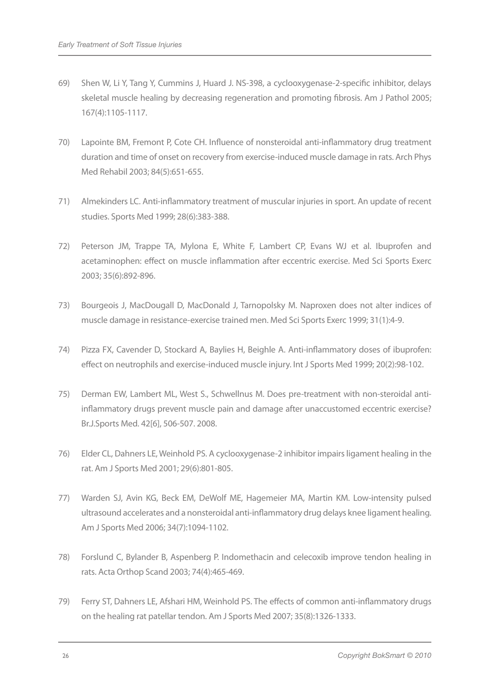- 69) Shen W, Li Y, Tang Y, Cummins J, Huard J. NS-398, a cyclooxygenase-2-specific inhibitor, delays skeletal muscle healing by decreasing regeneration and promoting fibrosis. Am J Pathol 2005; 167(4):1105-1117.
- 70) Lapointe BM, Fremont P, Cote CH. Influence of nonsteroidal anti-inflammatory drug treatment duration and time of onset on recovery from exercise-induced muscle damage in rats. Arch Phys Med Rehabil 2003; 84(5):651-655.
- 71) Almekinders LC. Anti-inflammatory treatment of muscular injuries in sport. An update of recent studies. Sports Med 1999; 28(6):383-388.
- 72) Peterson JM, Trappe TA, Mylona E, White F, Lambert CP, Evans WJ et al. Ibuprofen and acetaminophen: effect on muscle inflammation after eccentric exercise. Med Sci Sports Exerc 2003; 35(6):892-896.
- 73) Bourgeois J, MacDougall D, MacDonald J, Tarnopolsky M. Naproxen does not alter indices of muscle damage in resistance-exercise trained men. Med Sci Sports Exerc 1999; 31(1):4-9.
- 74) Pizza FX, Cavender D, Stockard A, Baylies H, Beighle A. Anti-inflammatory doses of ibuprofen: effect on neutrophils and exercise-induced muscle injury. Int J Sports Med 1999; 20(2):98-102.
- 75) Derman EW, Lambert ML, West S., Schwellnus M. Does pre-treatment with non-steroidal antiinflammatory drugs prevent muscle pain and damage after unaccustomed eccentric exercise? Br.J.Sports Med. 42[6], 506-507. 2008.
- 76) Elder CL, Dahners LE, Weinhold PS. A cyclooxygenase-2 inhibitor impairs ligament healing in the rat. Am J Sports Med 2001; 29(6):801-805.
- 77) Warden SJ, Avin KG, Beck EM, DeWolf ME, Hagemeier MA, Martin KM. Low-intensity pulsed ultrasound accelerates and a nonsteroidal anti-inflammatory drug delays knee ligament healing. Am J Sports Med 2006; 34(7):1094-1102.
- 78) Forslund C, Bylander B, Aspenberg P. Indomethacin and celecoxib improve tendon healing in rats. Acta Orthop Scand 2003; 74(4):465-469.
- 79) Ferry ST, Dahners LE, Afshari HM, Weinhold PS. The effects of common anti-inflammatory drugs on the healing rat patellar tendon. Am J Sports Med 2007; 35(8):1326-1333.